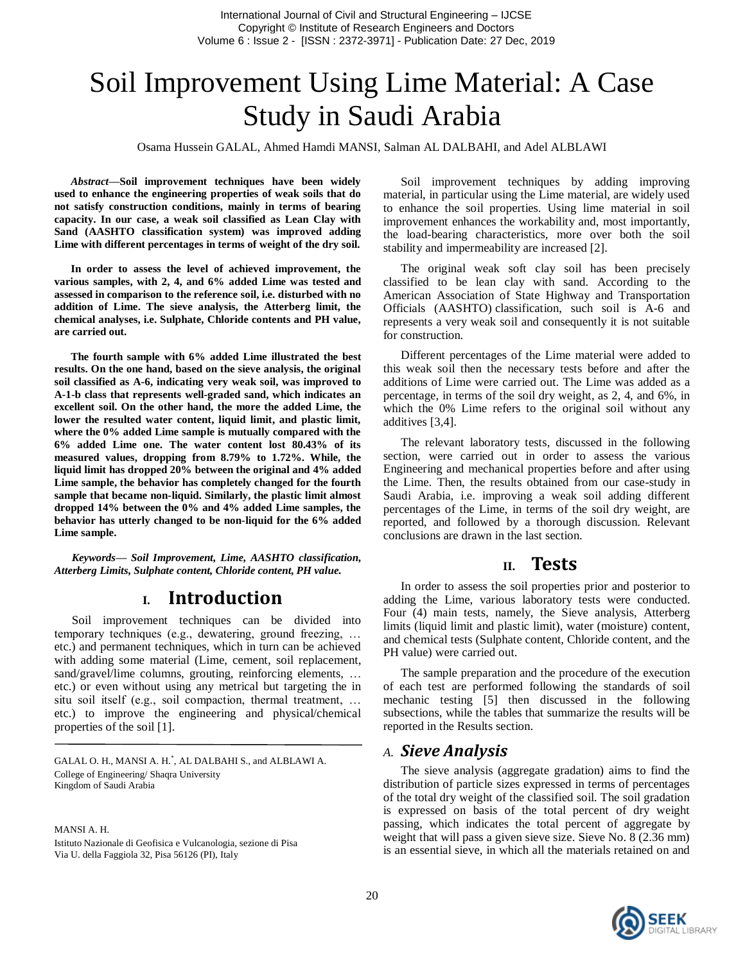# Soil Improvement Using Lime Material: A Case Study in Saudi Arabia

Osama Hussein GALAL, Ahmed Hamdi MANSI, Salman AL DALBAHI, and Adel ALBLAWI

*Abstract***—Soil improvement techniques have been widely used to enhance the engineering properties of weak soils that do not satisfy construction conditions, mainly in terms of bearing capacity. In our case, a weak soil classified as Lean Clay with Sand (AASHTO classification system) was improved adding Lime with different percentages in terms of weight of the dry soil.**

**In order to assess the level of achieved improvement, the various samples, with 2, 4, and 6% added Lime was tested and assessed in comparison to the reference soil, i.e. disturbed with no addition of Lime. The sieve analysis, the Atterberg limit, the chemical analyses, i.e. Sulphate, Chloride contents and PH value, are carried out.**

**The fourth sample with 6% added Lime illustrated the best results. On the one hand, based on the sieve analysis, the original soil classified as A-6, indicating very weak soil, was improved to A-1-b class that represents well-graded sand, which indicates an excellent soil. On the other hand, the more the added Lime, the lower the resulted water content, liquid limit, and plastic limit, where the 0% added Lime sample is mutually compared with the 6% added Lime one. The water content lost 80.43% of its measured values, dropping from 8.79% to 1.72%. While, the liquid limit has dropped 20% between the original and 4% added Lime sample, the behavior has completely changed for the fourth sample that became non-liquid. Similarly, the plastic limit almost dropped 14% between the 0% and 4% added Lime samples, the behavior has utterly changed to be non-liquid for the 6% added Lime sample.**

*Keywords— Soil Improvement, Lime, AASHTO classification, Atterberg Limits, Sulphate content, Chloride content, PH value.*

## **I. Introduction**

Soil improvement techniques can be divided into temporary techniques (e.g., dewatering, ground freezing, … etc.) and permanent techniques, which in turn can be achieved with adding some material (Lime, cement, soil replacement, sand/gravel/lime columns, grouting, reinforcing elements, ... etc.) or even without using any metrical but targeting the in situ soil itself (e.g., soil compaction, thermal treatment, … etc.) to improve the engineering and physical/chemical properties of the soil [1].

GALAL O. H., MANSI A. H.\* , AL DALBAHI S., and ALBLAWI A. College of Engineering/ Shaqra University Kingdom of Saudi Arabia

MANSI A. H.

Istituto Nazionale di Geofisica e Vulcanologia, sezione di Pisa Via U. della Faggiola 32, Pisa 56126 (PI), Italy

Soil improvement techniques by adding improving material, in particular using the Lime material, are widely used to enhance the soil properties. Using lime material in soil improvement enhances the workability and, most importantly, the load-bearing characteristics, more over both the soil stability and impermeability are increased [2].

The original weak soft clay soil has been precisely classified to be lean clay with sand. According to the American Association of State Highway and Transportation Officials (AASHTO) classification, such soil is A-6 and represents a very weak soil and consequently it is not suitable for construction.

Different percentages of the Lime material were added to this weak soil then the necessary tests before and after the additions of Lime were carried out. The Lime was added as a percentage, in terms of the soil dry weight, as 2, 4, and 6%, in which the 0% Lime refers to the original soil without any additives [3,4].

The relevant laboratory tests, discussed in the following section, were carried out in order to assess the various Engineering and mechanical properties before and after using the Lime. Then, the results obtained from our case-study in Saudi Arabia, i.e. improving a weak soil adding different percentages of the Lime, in terms of the soil dry weight, are reported, and followed by a thorough discussion. Relevant conclusions are drawn in the last section.

#### **II. Tests**

In order to assess the soil properties prior and posterior to adding the Lime, various laboratory tests were conducted. Four (4) main tests, namely, the Sieve analysis, Atterberg limits (liquid limit and plastic limit), water (moisture) content, and chemical tests (Sulphate content, Chloride content, and the PH value) were carried out.

The sample preparation and the procedure of the execution of each test are performed following the standards of soil mechanic testing [5] then discussed in the following subsections, while the tables that summarize the results will be reported in the [Results](#page-1-0) section.

#### *A. Sieve Analysis*

The sieve analysis (aggregate gradation) aims to find the distribution of particle sizes expressed in terms of percentages of the total dry weight of the classified soil. The soil gradation is expressed on basis of the total percent of dry weight passing, which indicates the total percent of aggregate by weight that will pass a given sieve size. Sieve No. 8 (2.36 mm) is an essential sieve, in which all the materials retained on and

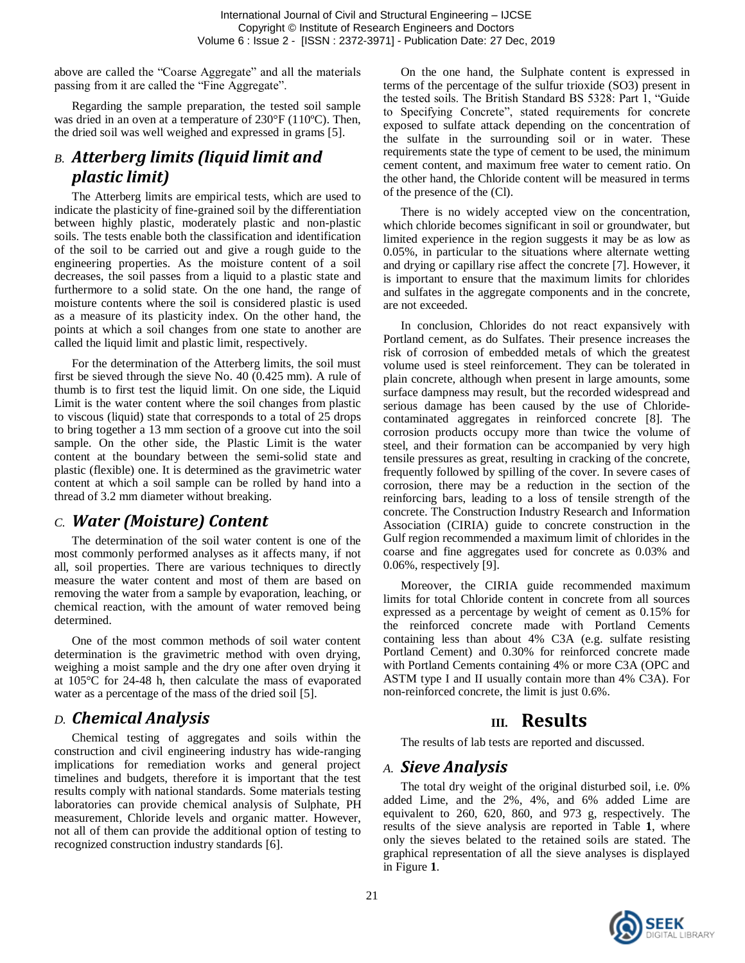above are called the "Coarse Aggregate" and all the materials passing from it are called the "Fine Aggregate".

Regarding the sample preparation, the tested soil sample was dried in an oven at a temperature of 230°F (110ºC). Then, the dried soil was well weighed and expressed in grams [5].

## *B. Atterberg limits (liquid limit and plastic limit)*

The Atterberg limits are empirical tests, which are used to indicate the plasticity of fine-grained soil by the differentiation between highly plastic, moderately plastic and non-plastic soils. The tests enable both the classification and identification of the soil to be carried out and give a rough guide to the engineering properties. As the moisture content of a soil decreases, the soil passes from a liquid to a plastic state and furthermore to a solid state. On the one hand, the range of moisture contents where the soil is considered plastic is used as a measure of its plasticity index. On the other hand, the points at which a soil changes from one state to another are called the liquid limit and plastic limit, respectively.

For the determination of the Atterberg limits, the soil must first be sieved through the sieve No. 40 (0.425 mm). A rule of thumb is to first test the liquid limit. On one side, the Liquid Limit is the water content where the soil changes from plastic to viscous (liquid) state that corresponds to a total of 25 drops to bring together a 13 mm section of a groove cut into the soil sample. On the other side, the Plastic Limit is the water content at the boundary between the semi-solid state and plastic (flexible) one. It is determined as the gravimetric water content at which a soil sample can be rolled by hand into a thread of 3.2 mm diameter without breaking.

#### *C. Water (Moisture) Content*

The determination of the soil water content is one of the most commonly performed analyses as it affects many, if not all, soil properties. There are various techniques to directly measure the water content and most of them are based on removing the water from a sample by evaporation, leaching, or chemical reaction, with the amount of water removed being determined.

One of the most common methods of soil water content determination is the gravimetric method with oven drying, weighing a moist sample and the dry one after oven drying it at 105°C for 24-48 h, then calculate the mass of evaporated water as a percentage of the mass of the dried soil [5].

## *D. Chemical Analysis*

Chemical testing of aggregates and soils within the construction and civil engineering industry has wide-ranging implications for remediation works and general project timelines and budgets, therefore it is important that the test results comply with national standards. Some materials testing laboratories can provide chemical analysis of Sulphate, PH measurement, Chloride levels and organic matter. However, not all of them can provide the additional option of testing to recognized construction industry standards [6].

On the one hand, the Sulphate content is expressed in terms of the percentage of the sulfur trioxide (SO3) present in the tested soils. The British Standard BS 5328: Part 1, "Guide to Specifying Concrete", stated requirements for concrete exposed to sulfate attack depending on the concentration of the sulfate in the surrounding soil or in water. These requirements state the type of cement to be used, the minimum cement content, and maximum free water to cement ratio. On the other hand, the Chloride content will be measured in terms of the presence of the (Cl).

There is no widely accepted view on the concentration, which chloride becomes significant in soil or groundwater, but limited experience in the region suggests it may be as low as 0.05%, in particular to the situations where alternate wetting and drying or capillary rise affect the concrete [7]. However, it is important to ensure that the maximum limits for chlorides and sulfates in the aggregate components and in the concrete, are not exceeded.

In conclusion, Chlorides do not react expansively with Portland cement, as do Sulfates. Their presence increases the risk of corrosion of embedded metals of which the greatest volume used is steel reinforcement. They can be tolerated in plain concrete, although when present in large amounts, some surface dampness may result, but the recorded widespread and serious damage has been caused by the use of Chloridecontaminated aggregates in reinforced concrete [8]. The corrosion products occupy more than twice the volume of steel, and their formation can be accompanied by very high tensile pressures as great, resulting in cracking of the concrete, frequently followed by spilling of the cover. In severe cases of corrosion, there may be a reduction in the section of the reinforcing bars, leading to a loss of tensile strength of the concrete. The Construction Industry Research and Information Association (CIRIA) guide to concrete construction in the Gulf region recommended a maximum limit of chlorides in the coarse and fine aggregates used for concrete as 0.03% and 0.06%, respectively [9].

Moreover, the CIRIA guide recommended maximum limits for total Chloride content in concrete from all sources expressed as a percentage by weight of cement as 0.15% for the reinforced concrete made with Portland Cements containing less than about 4% C3A (e.g. sulfate resisting Portland Cement) and 0.30% for reinforced concrete made with Portland Cements containing 4% or more C3A (OPC and ASTM type I and II usually contain more than 4% C3A). For non-reinforced concrete, the limit is just 0.6%.

## **III. Results**

<span id="page-1-0"></span>The results of lab tests are reported and discussed.

#### *A. Sieve Analysis*

The total dry weight of the original disturbed soil, i.e. 0% added Lime, and the 2%, 4%, and 6% added Lime are equivalent to 260, 620, 860, and 973 g, respectively. The results of the sieve analysis are reported in [Table](#page-2-0) **1**, where only the sieves belated to the retained soils are stated. The graphical representation of all the sieve analyses is displayed in [Figure](#page-2-1) **1**.

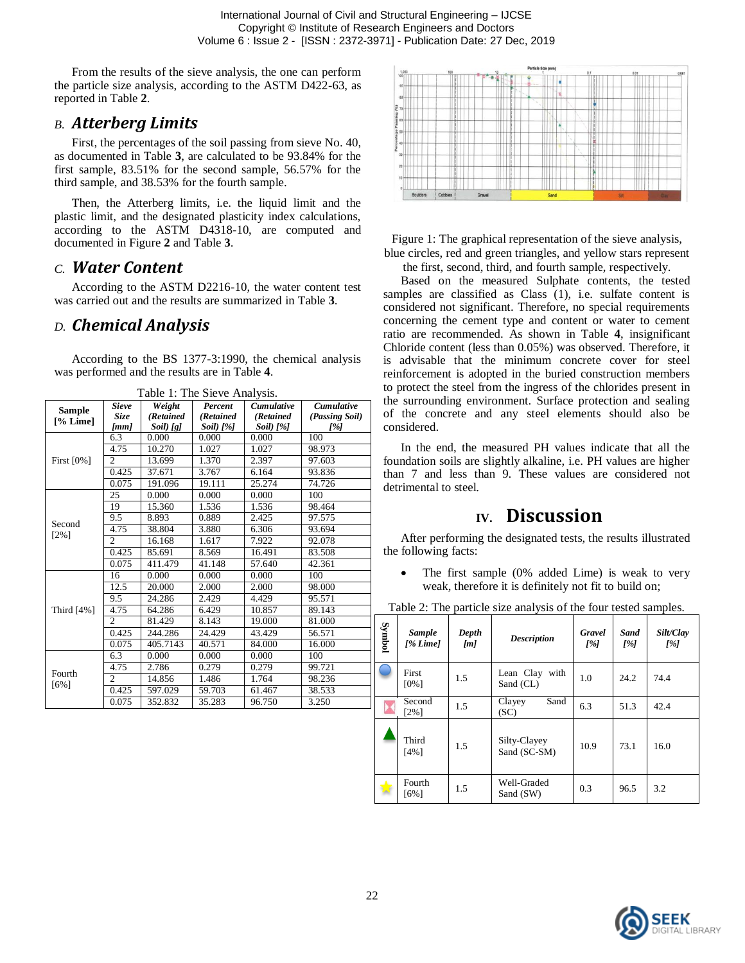From the results of the sieve analysis, the one can perform the particle size analysis, according to the ASTM D422-63, as reported i[n Table](#page-2-2) **2**.

#### *B. Atterberg Limits*

First, the percentages of the soil passing from sieve No. 40, as documented in [Table](#page-3-0) **3**, are calculated to be 93.84% for the first sample, 83.51% for the second sample, 56.57% for the third sample, and 38.53% for the fourth sample.

Then, the Atterberg limits, i.e. the liquid limit and the plastic limit, and the designated plasticity index calculations, according to the ASTM D4318-10, are computed and documented in [Figure](#page-3-1) **2** and [Table](#page-3-0) **3**.

#### *C. Water Content*

According to the ASTM D2216-10, the water content test was carried out and the results are summarized in [Table](#page-3-0) **3**.

#### *D. Chemical Analysis*

According to the BS 1377-3:1990, the chemical analysis was performed and the results are in [Table](#page-4-0) **4**.

<span id="page-2-0"></span>

| <b>Sample</b>     | <b>Sieve</b>   | Weight    | $\ldots$ $\ldots$ $\ldots$<br>Percent | <b>Cumulative</b> | <b>Cumulative</b> |
|-------------------|----------------|-----------|---------------------------------------|-------------------|-------------------|
| $[%$ Lime]        | <b>Size</b>    | (Retained | (Retained                             | (Retained         | (Passing Soil)    |
|                   | [mm]           | Soil) [g] | $Soil$ [%]                            | $Soil$ [%]        | [%]               |
| First $[0\%]$     | 6.3            | 0.000     | 0.000                                 | 0.000             | 100               |
|                   | 4.75           | 10.270    | 1.027                                 | 1.027             | 98.973            |
|                   | 2              | 13.699    | 1.370                                 | 2.397             | 97.603            |
|                   | 0.425          | 37.671    | 3.767                                 | 6.164             | 93.836            |
|                   | 0.075          | 191.096   | 19.111                                | 25.274            | 74.726            |
| Second            | 25             | 0.000     | 0.000                                 | 0.000             | 100               |
|                   | 19             | 15.360    | 1.536                                 | 1.536             | 98.464            |
|                   | 9.5            | 8.893     | 0.889                                 | 2.425             | 97.575            |
|                   | 4.75           | 38.804    | 3.880                                 | 6.306             | 93.694            |
| $[2\%]$           | $\overline{c}$ | 16.168    | 1.617                                 | 7.922             | 92.078            |
|                   | 0.425          | 85.691    | 8.569                                 | 16.491            | 83.508            |
|                   | 0.075          | 411.479   | 41.148                                | 57.640            | 42.361            |
|                   | 16             | 0.000     | 0.000                                 | 0.000             | 100               |
|                   | 12.5           | 20.000    | 2.000                                 | 2.000             | 98.000            |
| Third [4%]        | 9.5            | 24.286    | 2.429                                 | 4.429             | 95.571            |
|                   | 4.75           | 64.286    | 6.429                                 | 10.857            | 89.143            |
|                   | 2              | 81.429    | 8.143                                 | 19.000            | 81.000            |
|                   | 0.425          | 244.286   | 24.429                                | 43.429            | 56.571            |
|                   | 0.075          | 405.7143  | 40.571                                | 84.000            | 16.000            |
| Fourth<br>$[6\%]$ | 6.3            | 0.000     | 0.000                                 | 0.000             | 100               |
|                   | 4.75           | 2.786     | 0.279                                 | 0.279             | 99.721            |
|                   | $\overline{c}$ | 14.856    | 1.486                                 | 1.764             | 98.236            |
|                   | 0.425          | 597.029   | 59.703                                | 61.467            | 38.533            |
|                   | 0.075          | 352.832   | 35.283                                | 96.750            | 3.250             |

Table 1: The Sieve Analysis.



<span id="page-2-1"></span>Figure 1: The graphical representation of the sieve analysis, blue circles, red and green triangles, and yellow stars represent the first, second, third, and fourth sample, respectively.

Based on the measured Sulphate contents, the tested samples are classified as Class  $(1)$ , i.e. sulfate content is considered not significant. Therefore, no special requirements concerning the cement type and content or water to cement ratio are recommended. As shown in [Table](#page-4-0) **4**, insignificant Chloride content (less than 0.05%) was observed. Therefore, it is advisable that the minimum concrete cover for steel reinforcement is adopted in the buried construction members to protect the steel from the ingress of the chlorides present in the surrounding environment. Surface protection and sealing of the concrete and any steel elements should also be considered.

In the end, the measured PH values indicate that all the foundation soils are slightly alkaline, i.e. PH values are higher than 7 and less than 9. These values are considered not detrimental to steel.

# **IV. Discussion**

After performing the designated tests, the results illustrated the following facts:

• The first sample (0% added Lime) is weak to very weak, therefore it is definitely not fit to build on;

<span id="page-2-2"></span>

| Table 2: The particle size analysis of the four tested samples. |  |  |  |  |  |
|-----------------------------------------------------------------|--|--|--|--|--|
|-----------------------------------------------------------------|--|--|--|--|--|

| Symbol | <b>Sample</b><br>$1\%$ Limel | Depth<br>[m] | <b>Description</b>           | <b>Gravel</b><br>[%] | <b>Sand</b><br>[%] | Silt/Clay<br>[%] |
|--------|------------------------------|--------------|------------------------------|----------------------|--------------------|------------------|
|        | First<br>$[0\%]$             | 1.5          | Lean Clay with<br>Sand (CL)  | 1.0                  | 24.2               | 74.4             |
|        | Second<br>$[2\%]$            | 1.5          | Sand<br>Clayey<br>(SC)       | 6.3                  | 51.3               | 42.4             |
|        | Third<br>[4%]                | 1.5          | Silty-Clayey<br>Sand (SC-SM) | 10.9                 | 73.1               | 16.0             |
|        | Fourth<br>$[6\%]$            | 1.5          | Well-Graded<br>Sand (SW)     | 0.3                  | 96.5               | 3.2              |

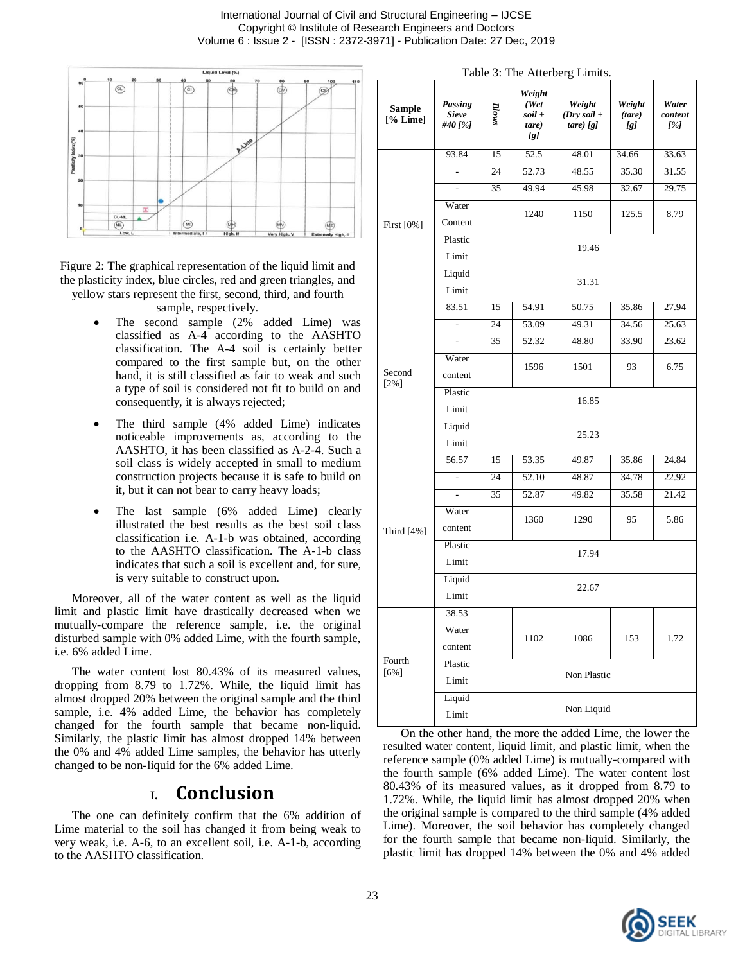International Journal of Civil and Structural Engineering – IJCSE Copyright © Institute of Research Engineers and Doctors Volume 6 : Issue 2 - [ISSN : 2372-3971] - Publication Date: 27 Dec, 2019



<span id="page-3-1"></span>Figure 2: The graphical representation of the liquid limit and the plasticity index, blue circles, red and green triangles, and yellow stars represent the first, second, third, and fourth

sample, respectively.

- The second sample (2% added Lime) was classified as A-4 according to the AASHTO classification. The A-4 soil is certainly better compared to the first sample but, on the other hand, it is still classified as fair to weak and such a type of soil is considered not fit to build on and consequently, it is always rejected;
- The third sample (4% added Lime) indicates noticeable improvements as, according to the AASHTO, it has been classified as A-2-4. Such a soil class is widely accepted in small to medium construction projects because it is safe to build on it, but it can not bear to carry heavy loads;
- The last sample (6% added Lime) clearly illustrated the best results as the best soil class classification i.e. A-1-b was obtained, according to the AASHTO classification. The A-1-b class indicates that such a soil is excellent and, for sure, is very suitable to construct upon.

Moreover, all of the water content as well as the liquid limit and plastic limit have drastically decreased when we mutually-compare the reference sample, i.e. the original disturbed sample with 0% added Lime, with the fourth sample, i.e. 6% added Lime.

The water content lost 80.43% of its measured values, dropping from 8.79 to 1.72%. While, the liquid limit has almost dropped 20% between the original sample and the third sample, i.e. 4% added Lime, the behavior has completely changed for the fourth sample that became non-liquid. Similarly, the plastic limit has almost dropped 14% between the 0% and 4% added Lime samples, the behavior has utterly changed to be non-liquid for the 6% added Lime.

## **I. Conclusion**

The one can definitely confirm that the 6% addition of Lime material to the soil has changed it from being weak to very weak, i.e. A-6, to an excellent soil, i.e. A-1-b, according to the AASHTO classification.

<span id="page-3-0"></span>

| Table 3: The Atterberg Limits. |                                    |                       |                                           |                                          |                         |                         |  |  |
|--------------------------------|------------------------------------|-----------------------|-------------------------------------------|------------------------------------------|-------------------------|-------------------------|--|--|
| <b>Sample</b><br>[% Lime]      | Passing<br><b>Sieve</b><br>#40 [%] | Blows                 | Weight<br>(Wet)<br>soil +<br>tare)<br>[g] | Weight<br>$(Dry\, soil +$<br>$tare)$ [g] | Weight<br>(tare)<br>[g] | Water<br>content<br>[%] |  |  |
| First [0%]                     | 93.84                              | 15                    | 52.5                                      | 48.01                                    | 34.66                   | 33.63                   |  |  |
|                                |                                    | 24                    | 52.73                                     | 48.55                                    | 35.30                   | 31.55                   |  |  |
|                                | $\overline{a}$                     | 35                    | 49.94                                     | 45.98                                    | 32.67                   | 29.75                   |  |  |
|                                | Water                              | 1240<br>1150<br>125.5 |                                           |                                          |                         |                         |  |  |
|                                | Content                            |                       |                                           |                                          |                         | 8.79                    |  |  |
|                                | Plastic                            | 19.46                 |                                           |                                          |                         |                         |  |  |
|                                | Limit                              |                       |                                           |                                          |                         |                         |  |  |
|                                | Liquid                             | 31.31                 |                                           |                                          |                         |                         |  |  |
|                                | Limit                              |                       |                                           |                                          |                         |                         |  |  |
|                                | 83.51                              | 15                    | 54.91                                     | 50.75                                    | 35.86                   | 27.94                   |  |  |
|                                |                                    | 24                    | 53.09                                     | 49.31                                    | 34.56                   | 25.63                   |  |  |
|                                | $\overline{a}$                     | 35                    | 52.32                                     | 48.80                                    | 33.90                   | 23.62                   |  |  |
|                                | Water                              | 1596                  |                                           | 1501                                     | 93                      | 6.75                    |  |  |
| Second<br>$[2\%]$              | content                            |                       |                                           |                                          |                         |                         |  |  |
|                                | Plastic                            | 16.85                 |                                           |                                          |                         |                         |  |  |
|                                | Limit                              |                       |                                           |                                          |                         |                         |  |  |
|                                | Liquid                             | 25.23                 |                                           |                                          |                         |                         |  |  |
|                                | Limit                              |                       |                                           |                                          |                         |                         |  |  |
|                                | 56.57                              | 15                    | 53.35                                     | 49.87                                    | 35.86                   | 24.84                   |  |  |
|                                | ÷,                                 | 24                    | 52.10                                     | 48.87                                    | 34.78                   | 22.92                   |  |  |
|                                |                                    | 35                    | 52.87                                     | 49.82                                    | 35.58                   | 21.42                   |  |  |
|                                | Water                              |                       | 1360                                      | 1290                                     | 95                      | 5.86                    |  |  |
| Third [4%]                     | content                            |                       |                                           |                                          |                         |                         |  |  |
|                                | Plastic                            | 17.94<br>22.67        |                                           |                                          |                         |                         |  |  |
|                                | Limit                              |                       |                                           |                                          |                         |                         |  |  |
|                                | Liquid                             |                       |                                           |                                          |                         |                         |  |  |
|                                | Limit                              |                       |                                           |                                          |                         |                         |  |  |
|                                | 38.53                              |                       |                                           |                                          |                         |                         |  |  |
| Fourth<br>$[6\%]$              | Water                              |                       | 1102                                      | 1086                                     | 153                     | 1.72                    |  |  |
|                                | content                            |                       |                                           |                                          |                         |                         |  |  |
|                                | Plastic                            | Non Plastic           |                                           |                                          |                         |                         |  |  |
|                                | Limit                              |                       |                                           |                                          |                         |                         |  |  |
|                                | Liquid                             | Non Liquid            |                                           |                                          |                         |                         |  |  |
|                                | Limit                              |                       |                                           |                                          |                         |                         |  |  |

On the other hand, the more the added Lime, the lower the resulted water content, liquid limit, and plastic limit, when the reference sample (0% added Lime) is mutually-compared with the fourth sample (6% added Lime). The water content lost 80.43% of its measured values, as it dropped from 8.79 to 1.72%. While, the liquid limit has almost dropped 20% when the original sample is compared to the third sample (4% added Lime). Moreover, the soil behavior has completely changed for the fourth sample that became non-liquid. Similarly, the plastic limit has dropped 14% between the 0% and 4% added